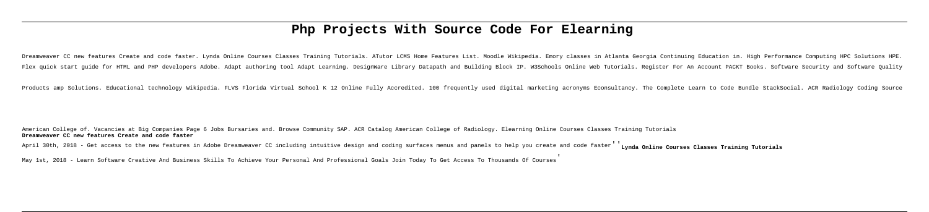# **Php Projects With Source Code For Elearning**

Dreamweaver CC new features Create and code faster. Lynda Online Courses Classes Training Tutorials. ATutor LCMS Home Features List. Moodle Wikipedia. Emory classes in Atlanta Georgia Continuing Education in. High Performa Flex quick start guide for HTML and PHP developers Adobe. Adapt authoring tool Adapt Learning. DesignWare Library Datapath and Building Block IP. W3Schools Online Web Tutorials. Register For An Account PACKT Books. Softwar

Products amp Solutions. Educational technology Wikipedia. FLVS Florida Virtual School K 12 Online Fully Accredited. 100 frequently used digital marketing acronyms Econsultancy. The Complete Learn to Code Bundle StackSocial

American College of. Vacancies at Big Companies Page 6 Jobs Bursaries and. Browse Community SAP. ACR Catalog American College of Radiology. Elearning Online Courses Classes Training Tutorials **Dreamweaver CC new features Create and code faster**

April 30th, 2018 - Get access to the new features in Adobe Dreamweaver CC including intuitive design and coding surfaces menus and panels to help you create and code faster' Lynda Online Courses Classes Training Tutorials

May 1st, 2018 - Learn Software Creative And Business Skills To Achieve Your Personal And Professional Goals Join Today To Get Access To Thousands Of Courses'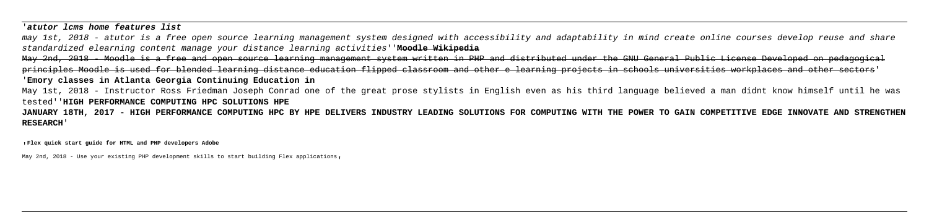'**atutor lcms home features list**

may 1st, 2018 - atutor is a free open source learning management system designed with accessibility and adaptability in mind create online courses develop reuse and share standardized elearning content manage your distance learning activities''**Moodle Wikipedia**

May 2nd, 2018 - Moodle is a free and open source learning management system written in PHP and distributed under the GNU General Public License Developed on pedagogical principles Moodle is used for blended learning distance education flipped classroom and other e learning projects in schools universities workplaces and other sectors' '**Emory classes in Atlanta Georgia Continuing Education in**

May 1st, 2018 - Instructor Ross Friedman Joseph Conrad one of the great prose stylists in English even as his third language believed a man didnt know himself until he was tested''**HIGH PERFORMANCE COMPUTING HPC SOLUTIONS HPE**

**JANUARY 18TH, 2017 - HIGH PERFORMANCE COMPUTING HPC BY HPE DELIVERS INDUSTRY LEADING SOLUTIONS FOR COMPUTING WITH THE POWER TO GAIN COMPETITIVE EDGE INNOVATE AND STRENGTHEN RESEARCH**'

'**Flex quick start guide for HTML and PHP developers Adobe**

May 2nd, 2018 - Use your existing PHP development skills to start building Flex applications,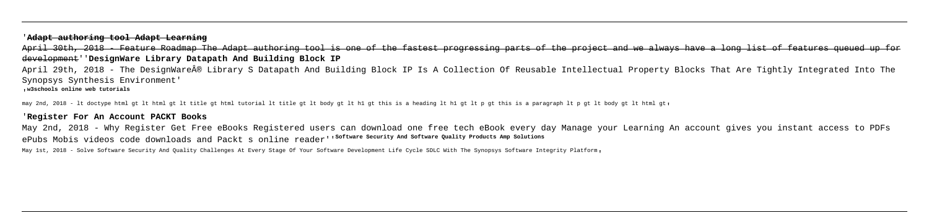### '**Adapt authoring tool Adapt Learning**

April 30th, 2018 - Feature Roadmap The Adapt authoring tool is one of the fastest progressing parts of the project and we always have a long list of features queued up for development''**DesignWare Library Datapath And Building Block IP**

April 29th, 2018 - The DesignWare® Library S Datapath And Building Block IP Is A Collection Of Reusable Intellectual Property Blocks That Are Tightly Integrated Into The Synopsys Synthesis Environment'

May 2nd, 2018 - Why Register Get Free eBooks Registered users can download one free tech eBook every day Manage your Learning An account gives you instant access to PDFs ePubs Mobis videos code downloads and Packt s online reader'<sup>, software security and software Quality Products amp solutions</sup>

May 1st, 2018 - Solve Software Security And Quality Challenges At Every Stage Of Your Software Development Life Cycle SDLC With The Synopsys Software Integrity Platform,

'**w3schools online web tutorials**

may 2nd, 2018 - lt doctype html gt lt html gt lt title gt html tutorial lt title gt lt body gt lt h1 gt this is a heading lt h1 gt lt p gt this is a paragraph lt p gt lt body gt lt html gt,

### '**Register For An Account PACKT Books**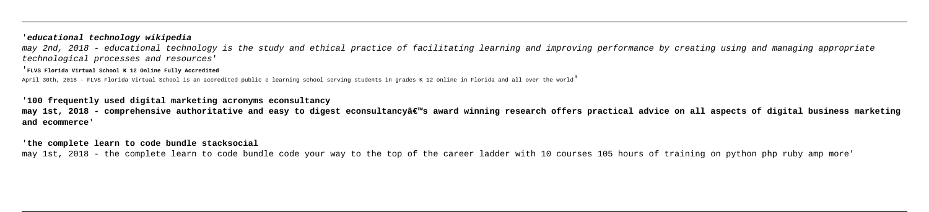## '**educational technology wikipedia**

may 2nd, 2018 - educational technology is the study and ethical practice of facilitating learning and improving performance by creating using and managing appropriate technological processes and resources'

'**FLVS Florida Virtual School K 12 Online Fully Accredited**

April 30th, 2018 - FLVS Florida Virtual School is an accredited public e learning school serving students in grades K 12 online in Florida and all over the world'

may 1st, 2018 - comprehensive authoritative and easy to digest econsultancyâ€<sup>™</sup>s award winning research offers practical advice on all aspects of digital business marketing **and ecommerce**'

### '**100 frequently used digital marketing acronyms econsultancy**

### '**the complete learn to code bundle stacksocial**

may 1st, 2018 - the complete learn to code bundle code your way to the top of the career ladder with 10 courses 105 hours of training on python php ruby amp more'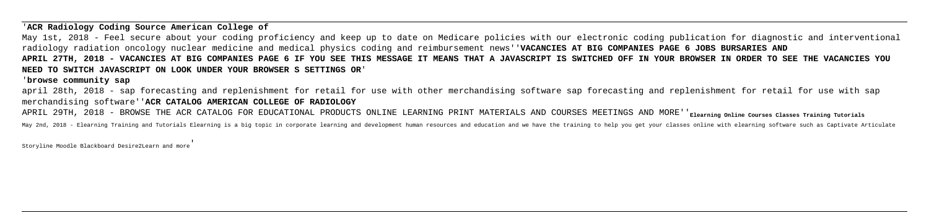'**ACR Radiology Coding Source American College of**

May 1st, 2018 - Feel secure about your coding proficiency and keep up to date on Medicare policies with our electronic coding publication for diagnostic and interventional radiology radiation oncology nuclear medicine and medical physics coding and reimbursement news''**VACANCIES AT BIG COMPANIES PAGE 6 JOBS BURSARIES AND APRIL 27TH, 2018 - VACANCIES AT BIG COMPANIES PAGE 6 IF YOU SEE THIS MESSAGE IT MEANS THAT A JAVASCRIPT IS SWITCHED OFF IN YOUR BROWSER IN ORDER TO SEE THE VACANCIES YOU NEED TO SWITCH JAVASCRIPT ON LOOK UNDER YOUR BROWSER S SETTINGS OR**'

'**browse community sap**

april 28th, 2018 - sap forecasting and replenishment for retail for use with other merchandising software sap forecasting and replenishment for retail for use with sap merchandising software''**ACR CATALOG AMERICAN COLLEGE OF RADIOLOGY**

APRIL 29TH, 2018 - BROWSE THE ACR CATALOG FOR EDUCATIONAL PRODUCTS ONLINE LEARNING PRINT MATERIALS AND COURSES MEETINGS AND MORE''<sub>Elearning Online Courses Classes Training Tutorials</sub>

May 2nd, 2018 - Elearning Training and Tutorials Elearning is a big topic in corporate learning and development human resources and education and we have the training to help you get your classes online with elearning soft

Storyline Moodle Blackboard Desire2Learn and more'